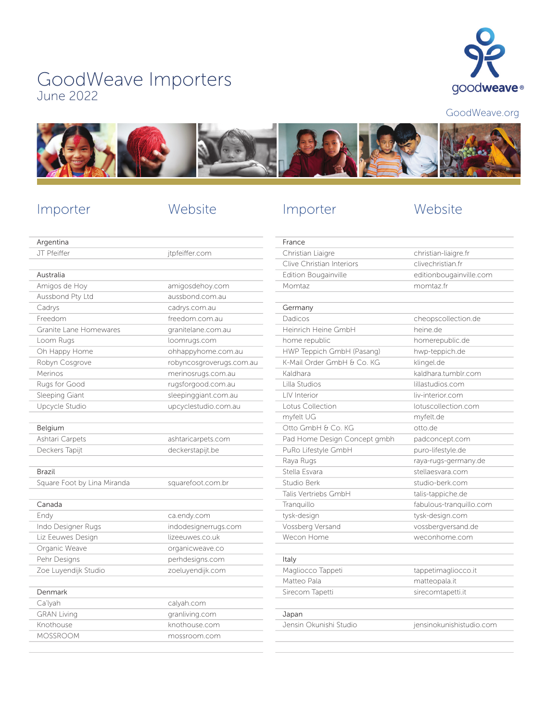# GoodWeave Importers June 2022



GoodWeave.org



# Importer Website

# Importer Website

| Argentina                   |                          |
|-----------------------------|--------------------------|
| JT Pfeiffer                 | jtpfeiffer.com           |
|                             |                          |
| Australia                   |                          |
| Amigos de Hoy               | amigosdehoy.com          |
| Aussbond Pty Ltd            | aussbond.com.au          |
| Cadrys                      | cadrys.com.au            |
| Freedom                     | freedom.com.au           |
| Granite Lane Homewares      | granitelane.com.au       |
| Loom Rugs                   | loomrugs.com             |
| Oh Happy Home               | ohhappyhome.com.au       |
| Robyn Cosgrove              | robyncosgroverugs.com.au |
| Merinos                     | merinosrugs.com.au       |
| Rugs for Good               | rugsforgood.com.au       |
| Sleeping Giant              | sleepinggiant.com.au     |
| Upcycle Studio              | upcyclestudio.com.au     |
|                             |                          |
| Belgium                     |                          |
| Ashtari Carpets             | ashtaricarpets.com       |
| Deckers Tapijt              | deckerstapijt.be         |
|                             |                          |
| Brazil                      |                          |
| Square Foot by Lina Miranda | squarefoot.com.br        |
|                             |                          |
| Canada                      |                          |
| Endy                        | ca.endy.com              |
| Indo Designer Rugs          | indodesignerrugs.com     |
| Liz Eeuwes Design           | lizeeuwes.co.uk          |
| Organic Weave               | organicweave.co          |
| Pehr Designs                | perhdesigns.com          |
| Zoe Luyendijk Studio        | zoeluyendijk.com         |
| Denmark                     |                          |
| Ca'lyah                     | calyah.com               |
| <b>GRAN Living</b>          | granliving.com           |
| Knothouse                   | knothouse.com            |
| <b>MOSSROOM</b>             | mossroom.com             |
|                             |                          |

| christian-liaigre.fr     |
|--------------------------|
| clivechristian.fr        |
| editionbougainville.com  |
| momtaz.fr                |
|                          |
|                          |
| cheopscollection.de      |
| heine.de                 |
| homerepublic.de          |
| hwp-teppich.de           |
| klingel.de               |
| kaldhara.tumblr.com      |
| lillastudios.com         |
| liv-interior.com         |
| lotuscollection.com      |
| myfelt.de                |
| otto.de                  |
| padconcept.com           |
| puro-lifestyle.de        |
| raya-rugs-germany.de     |
| stellaesvara.com         |
| studio-berk.com          |
| talis-tappiche.de        |
| fabulous-tranquillo.com  |
| tysk-design.com          |
| vossbergversand.de       |
| weconhome.com            |
|                          |
|                          |
| tappetimagliocco.it      |
| matteopala.it            |
| sirecomtapetti.it        |
|                          |
|                          |
| jensinokunishistudio.com |
|                          |
|                          |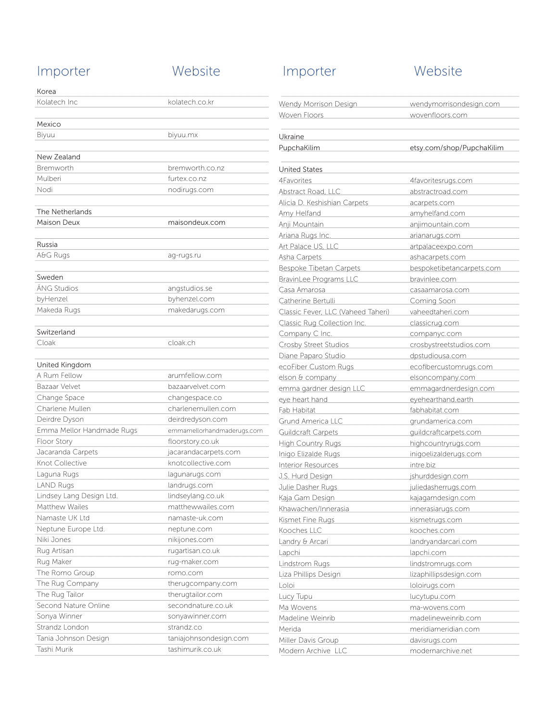## Importer Website

| Korea                     |                            |
|---------------------------|----------------------------|
| Kolatech Inc              | kolatech.co.kr             |
|                           |                            |
| Mexico                    |                            |
| Biyuu                     | biyuu.mx                   |
|                           |                            |
| New Zealand               |                            |
| Bremworth                 | bremworth.co.nz            |
| Mulberi                   | furtex.co.nz               |
| Nodi                      | nodirugs.com               |
|                           |                            |
| The Netherlands           |                            |
| Maison Deux               | maisondeux.com             |
|                           |                            |
| Russia                    |                            |
| A&G Rugs                  | ag-rugs.ru                 |
|                           |                            |
| Sweden                    |                            |
| ÄNG Studios               | angstudios.se              |
| byHenzel                  | byhenzel.com               |
| Makeda Rugs               | makedarugs.com             |
|                           |                            |
| Switzerland<br>Cloak      | cloak.ch                   |
|                           |                            |
| United Kingdom            |                            |
| A Rum Fellow              | arumfellow.com             |
| Bazaar Velvet             | bazaarvelvet.com           |
| Change Space              | changespace.co             |
| Charlene Mullen           | charlenemullen.com         |
| Deirdre Dyson             | deirdredyson.com           |
| Emma Mellor Handmade Rugs | emmamellorhandmaderugs.com |
| Floor Story               | floorstory.co.uk           |
| Jacaranda Carpets         | jacarandacarpets.com       |
| Knot Collective           | knotcollective.com         |
| Laguna Rugs               | lagunarugs.com             |
| <b>LAND Rugs</b>          | landrugs.com               |
| Lindsey Lang Design Ltd.  | lindseylang.co.uk          |
| Matthew Wailes            | matthewwailes.com          |
| Namaste UK Ltd            | namaste-uk.com             |
| Neptune Europe Ltd.       | neptune.com                |
| Niki Jones                | nikijones.com              |
| Rug Artisan               | rugartisan.co.uk           |
| Rug Maker                 | rug-maker.com              |
| The Romo Group            | romo.com                   |
| The Rug Company           | therugcompany.com          |
| The Rug Tailor            | therugtailor.com           |
| Second Nature Online      | secondnature.co.uk         |
| Sonya Winner              | sonyawinner.com            |
| Strandz London            | strandz.co                 |
| Tania Johnson Design      | taniajohnsondesign.com     |
| Tashi Murik               | tashimurik.co.uk           |

## Importer Website

### Wendy Morrison Design wendymorrisondesign.com Woven Floors wovenfloors.com Ukraine PupchaKilim etsy.com/shop/PupchaKilim United States 4Favorites 4favoritesrugs.com Abstract Road, LLC abstractroad.com Alicia D. Keshishian Carpets acarpets.com Amy Helfand amyhelfand.com Anji Mountain anjimountain.com Ariana Rugs Inc. **Arianarugs.com** Art Palace US, LLC article artpalaceexpo.com Asha Carpets ashacarpets.com Bespoke Tibetan Carpets bespoketibetancarpets.com BravinLee Programs LLC bravinlee.com Casa Amarosa casaamarosa.com Catherine Bertulli Coming Soon Classic Fever, LLC (Vaheed Taheri) vaheedtaheri.com Classic Rug Collection Inc. classicrug.com Company C Inc. companyc.com Crosby Street Studios crosbystreetstudios.com Diane Paparo Studio dpstudiousa.com ecoFiber Custom Rugs ecofibercustomrugs.com elson & company elsoncompany.com emma gardner design LLC emmagardnerdesign.com eye heart hand exercise the eyehearthand.earth Fab Habitat fabhabitat.com Grund America LLC grundamerica.com Guildcraft Carpets **Guildcraftcarpets.com** High Country Rugs highcountryrugs.com Inigo Elizalde Rugs inigoelizalderugs.com Interior Resources intre.biz J.S. Hurd Design jshurddesign.com Julie Dasher Rugs juliedasherrugs.com Kaja Gam Design kajagamdesign.com Khawachen/Innerasia innerasiarugs.com Kismet Fine Rugs kismetrugs.com Kooches LLC kooches.com Landry & Arcari landryandarcari.com Lapchi lapchi.com Lindstrom Rugs and Lindstromrugs.com Liza Phillips Design lizaphillipsdesign.com Loloi loloirugs.com Lucy Tupu **lucytupu.com** Ma Wovens **Manufacture Manufacture Manufacture Manufacture Manufacture Manufacture Manufacture Manufacture Manufacture Manufacture Manufacture Manufacture Manufacture Manufacture Manufacture Manufacture Manufacture Manufac** Madeline Weinrib madelineweinrib.com Merida meridiameridian.com Miller Davis Group davisrugs.com Modern Archive LLC modernarchive.net